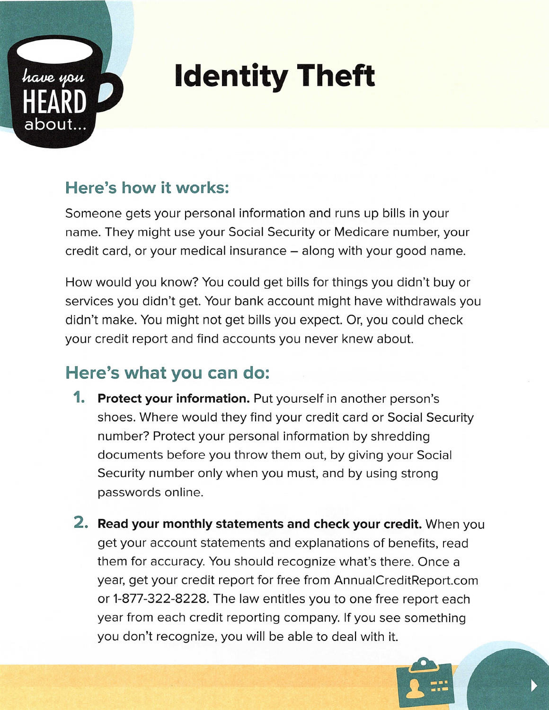

## Identity Theft

## Here's how it works:

Someone gets your personal information and runs up bills in your name. They might use your Social Security or Medicare number, your credit card, or your medical insurance - along with your good name.

How would you know? You could get bills for things you didn't buy or services you didn't get. Your bank account might have withdrawals you didn't make. You might not get bills you expect. Or, you could check your credit report and find accounts you never knew about.

## Here's what you can do:

- 1. Protect your information. Put yourself in another person's shoes. Where would they find your credit card or Social Security number? Protect your personal information by shredding documents before you throw them out, by giving your Social Security number only when you must, and by using strong passwords online.
- 2. Read your monthly statements and check your credit. When you get your account statements and explanations of benefits, read them for accuracy. You should recognize what's there. Once a year, get your credit report for free from AnnualcreditReport.com or 1-877-322-8228. The law entitles you to one free report each year from each credit reporting company. If you see something you don't recognize, you will be able to deal with it.